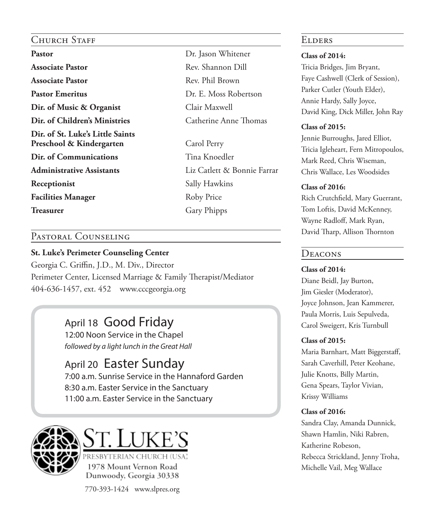### Church Staff

Pastor Dr. Jason Whitener **Associate Pastor** Rev. Shannon Dill **Associate Pastor** Rev. Phil Brown **Pastor Emeritus** Dr. E. Moss Robertson **Dir. of Music & Organist** Clair Maxwell **Dir. of Children's Ministries** Catherine Anne Thomas **Dir. of St. Luke's Little Saints**  Preschool & Kindergarten Carol Perry **Dir. of Communications** Tina Knoedler **Administrative Assistants** Liz Catlett & Bonnie Farrar **Receptionist** Sally Hawkins **Facilities Manager** Roby Price **Treasurer** Gary Phipps

### Pastoral Counseling

### **St. Luke's Perimeter Counseling Center**

Georgia C. Griffin, J.D., M. Div., Director Perimeter Center, Licensed Marriage & Family Therapist/Mediator 404-636-1457, ext. 452 www.cccgeorgia.org

### April 18 Good Friday 12:00 Noon Service in the Chapel *followed by a light lunch in the Great Hall*

### April 20 Easter Sunday 7:00 a.m. Sunrise Service in the Hannaford Garden 8:30 a.m. Easter Service in the Sanctuary 11:00 a.m. Easter Service in the Sanctuary





PRESBYTERIAN CHURCH 1978 Mount Vernon Road Dunwoody, Georgia 30338

770-393-1424 www.slpres.org

### **ELDERS**

### **Class of 2014:**

Tricia Bridges, Jim Bryant, Faye Cashwell (Clerk of Session), Parker Cutler (Youth Elder), Annie Hardy, Sally Joyce, David King, Dick Miller, John Ray

### **Class of 2015:**

Jennie Burroughs, Jared Elliot, Tricia Igleheart, Fern Mitropoulos, Mark Reed, Chris Wiseman, Chris Wallace, Les Woodsides

### **Class of 2016:**

Rich Crutchfield, Mary Guerrant, Tom Loftis, David McKenney, Wayne Radloff, Mark Ryan, David Tharp, Allison Thornton

### **DEACONS**

**Class of 2014:** Diane Beidl, Jay Burton, Jim Giesler (Moderator), Joyce Johnson, Jean Kammerer, Paula Morris, Luis Sepulveda, Carol Sweigert, Kris Turnbull

### **Class of 2015:**

Maria Barnhart, Matt Biggerstaff, Sarah Caverhill, Peter Keohane, Julie Knotts, Billy Martin, Gena Spears, Taylor Vivian, Krissy Williams

### **Class of 2016:**

Sandra Clay, Amanda Dunnick, Shawn Hamlin, Niki Rabren, Katherine Robeson, Rebecca Strickland, Jenny Troha, Michelle Vail, Meg Wallace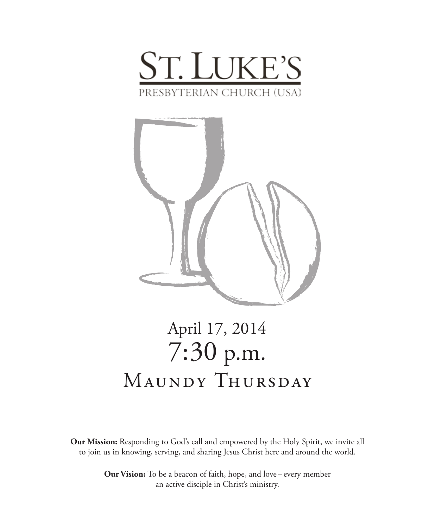



# April 17, 2014 7:30 p.m. MAUNDY THURSDAY

**Our Mission:** Responding to God's call and empowered by the Holy Spirit, we invite all to join us in knowing, serving, and sharing Jesus Christ here and around the world.

> **Our Vision:** To be a beacon of faith, hope, and love – every member an active disciple in Christ's ministry.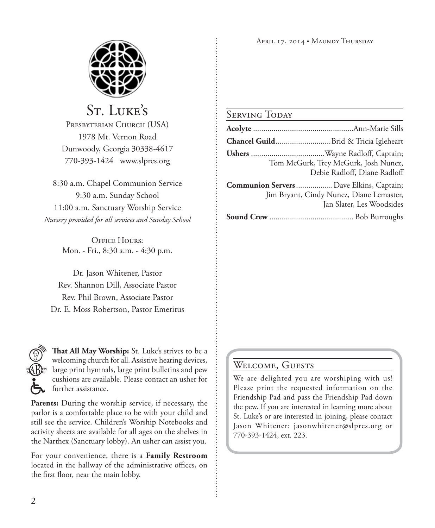

## St. Luke's

PRESBYTERIAN CHURCH (USA) 1978 Mt. Vernon Road Dunwoody, Georgia 30338-4617 770-393-1424 www.slpres.org

8:30 a.m. Chapel Communion Service 9:30 a.m. Sunday School 11:00 a.m. Sanctuary Worship Service *Nursery provided for all services and Sunday School*

> OFFICE HOURS: Mon. - Fri., 8:30 a.m. - 4:30 p.m.

Dr. Jason Whitener, Pastor Rev. Shannon Dill, Associate Pastor Rev. Phil Brown, Associate Pastor Dr. E. Moss Robertson, Pastor Emeritus



**That All May Worship:** St. Luke's strives to be a welcoming church for all. Assistive hearing devices, large print hymnals, large print bulletins and pew cushions are available. Please contact an usher for further assistance.

**Parents:** During the worship service, if necessary, the parlor is a comfortable place to be with your child and still see the service. Children's Worship Notebooks and activity sheets are available for all ages on the shelves in the Narthex (Sanctuary lobby). An usher can assist you.

For your convenience, there is a **Family Restroom** located in the hallway of the administrative offices, on the first floor, near the main lobby.

### SERVING TODAY

|                                          | Tom McGurk, Trey McGurk, Josh Nunez,<br>Debie Radloff, Diane Radloff  |
|------------------------------------------|-----------------------------------------------------------------------|
| Communion Servers  Dave Elkins, Captain; | Jim Bryant, Cindy Nunez, Diane Lemaster,<br>Jan Slater, Les Woodsides |
|                                          |                                                                       |

### Welcome, Guests

We are delighted you are worshiping with us! Please print the requested information on the Friendship Pad and pass the Friendship Pad down the pew. If you are interested in learning more about St. Luke's or are interested in joining, please contact Jason Whitener: jasonwhitener@slpres.org or 770-393-1424, ext. 223.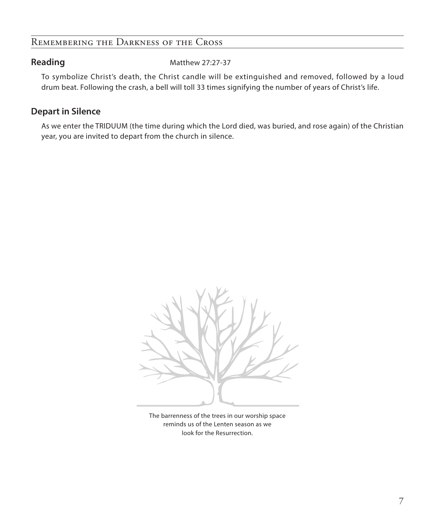### Remembering the Darkness of the Cross

**Reading** Matthew 27:27-37

 To symbolize Christ's death, the Christ candle will be extinguished and removed, followed by a loud drum beat. Following the crash, a bell will toll 33 times signifying the number of years of Christ's life.

### **Depart in Silence**

 As we enter the TRIDUUM (the time during which the Lord died, was buried, and rose again) of the Christian year, you are invited to depart from the church in silence.



The barrenness of the trees in our worship space reminds us of the Lenten season as we look for the Resurrection.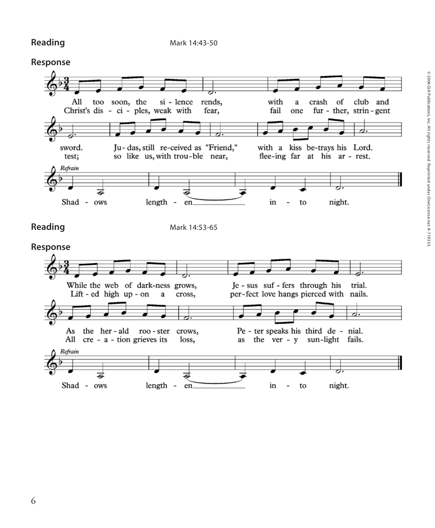**Reading** Mark 14:43-50

### **Response**

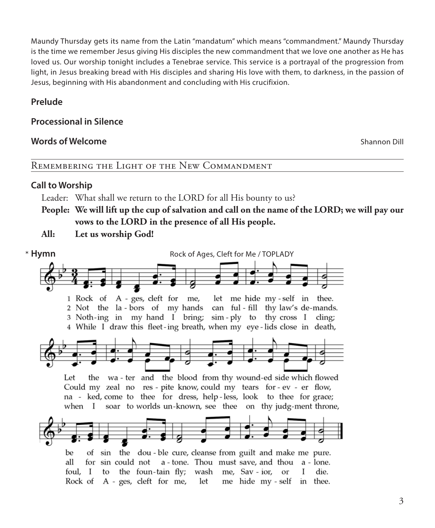Maundy Thursday gets its name from the Latin "mandatum" which means "commandment." Maundy Thursday is the time we remember Jesus giving His disciples the new commandment that we love one another as He has loved us. Our worship tonight includes a Tenebrae service. This service is a portrayal of the progression from light, in Jesus breaking bread with His disciples and sharing His love with them, to darkness, in the passion of Jesus, beginning with His abandonment and concluding with His crucifixion.

### **Prelude**

### **Processional in Silence**

### **Words of Welcome Shannon Dill Words of Welcome Shannon Dill**

### Remembering the Light of the New Commandment

### **Call to Worship**

Leader: What shall we return to the LORD for all His bounty to us?

**People: We will lift up the cup of salvation and call on the name of the LORD; we will pay our vows to the LORD in the presence of all His people.**

**All: Let us worship God!**

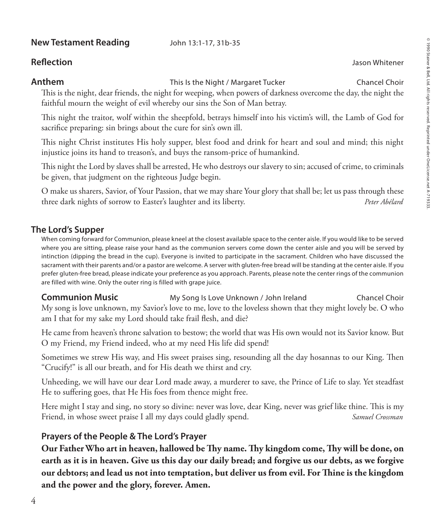### **New Testament Reading** John 13:1-17, 31b-35

### **Reflection** Jason Whitener

**Anthem** This Is the Night / Margaret Tucker Chancel Choir

 This is the night, dear friends, the night for weeping, when powers of darkness overcome the day, the night the faithful mourn the weight of evil whereby our sins the Son of Man betray.

 This night the traitor, wolf within the sheepfold, betrays himself into his victim's will, the Lamb of God for sacrifice preparing: sin brings about the cure for sin's own ill.

 This night Christ institutes His holy supper, blest food and drink for heart and soul and mind; this night injustice joins its hand to treason's, and buys the ransom-price of humankind.

 This night the Lord by slaves shall be arrested, He who destroys our slavery to sin; accused of crime, to criminals be given, that judgment on the righteous Judge begin.

 O make us sharers, Savior, of Your Passion, that we may share Your glory that shall be; let us pass through these three dark nights of sorrow to Easter's laughter and its liberty. *Peter Abélard*

### **The Lord's Supper**

 When coming forward for Communion, please kneel at the closest available space to the center aisle. If you would like to be served where you are sitting, please raise your hand as the communion servers come down the center aisle and you will be served by intinction (dipping the bread in the cup). Everyone is invited to participate in the sacrament. Children who have discussed the sacrament with their parents and/or a pastor are welcome. A server with gluten-free bread will be standing at the center aisle. If you prefer gluten-free bread, please indicate your preference as you approach. Parents, please note the center rings of the communion are filled with wine. Only the outer ring is filled with grape juice.

**Communion Music** My Song Is Love Unknown / John Ireland Chancel Choir My song is love unknown, my Savior's love to me, love to the loveless shown that they might lovely be. O who am I that for my sake my Lord should take frail flesh, and die?

 He came from heaven's throne salvation to bestow; the world that was His own would not its Savior know. But O my Friend, my Friend indeed, who at my need His life did spend!

 Sometimes we strew His way, and His sweet praises sing, resounding all the day hosannas to our King. Then "Crucify!" is all our breath, and for His death we thirst and cry.

 Unheeding, we will have our dear Lord made away, a murderer to save, the Prince of Life to slay. Yet steadfast He to suffering goes, that He His foes from thence might free.

 Here might I stay and sing, no story so divine: never was love, dear King, never was grief like thine. This is my Friend, in whose sweet praise I all my days could gladly spend. *Samuel Crossman*

### **Prayers of the People & The Lord's Prayer**

 **Our Father Who art in heaven, hallowed be Thy name. Thy kingdom come, Thy will be done, on earth as it is in heaven. Give us this day our daily bread; and forgive us our debts, as we forgive our debtors; and lead us not into temptation, but deliver us from evil. For Thine is the kingdom and the power and the glory, forever. Amen.**